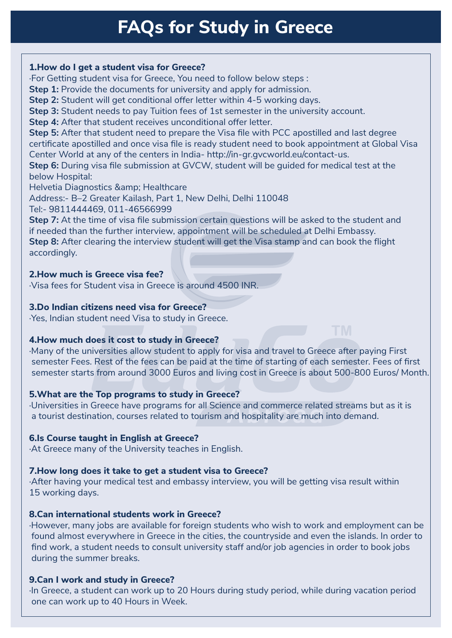# **FAQs for Study in Greece**

#### **1. How do I get a student visa for Greece?**

·For Getting student visa for Greece, You need to follow below steps :

**Step 1:** Provide the documents for university and apply for admission.

**Step 2:** Student will get conditional offer letter within 4-5 working days.

**Step 3:** Student needs to pay Tuition fees of 1st semester in the university account.

**Step 4:** After that student receives unconditional offer letter.

**Step 5:** After that student need to prepare the Visa file with PCC apostilled and last degree certificate apostilled and once visa file is ready student need to book appointment at Global Visa Center World at any of the centers in India- http://in-gr.gvcworld.eu/contact-us.

**Step 6:** During visa file submission at GVCW, student will be guided for medical test at the below Hospital:

Helvetia Diagnostics & amp; Healthcare

Address:- B–2 Greater Kailash, Part 1, New Delhi, Delhi 110048

Tel:- 9811444469, 011-46566999

**Step 7:** At the time of visa file submission certain questions will be asked to the student and if needed than the further interview, appointment will be scheduled at Delhi Embassy. **Step 8:** After clearing the interview student will get the Visa stamp and can book the flight accordingly.

## **2. How much is Greece visa fee?**

·Visa fees for Student visa in Greece is around 4500 INR.

## **3. Do Indian citizens need visa for Greece?**

·Yes, Indian student need Visa to study in Greece.

## **4. How much does it cost to study in Greece?**

·Many of the universities allow student to apply for visa and travel to Greece after paying First semester Fees. Rest of the fees can be paid at the time of starting of each semester. Fees of first semester starts from around 3000 Euros and living cost in Greece is about 500-800 Euros/ Month.

## **5. What are the Top programs to study in Greece?**

·Universities in Greece have programs for all Science and commerce related streams but as it is a tourist destination, courses related to tourism and hospitality are much into demand.

## **6. Is Course taught in English at Greece?**

·At Greece many of the University teaches in English.

## **7. How long does it take to get a student visa to Greece?**

·After having your medical test and embassy interview, you will be getting visa result within 15 working days.

## **8. Can international students work in Greece?**

·However, many jobs are available for foreign students who wish to work and employment can be found almost everywhere in Greece in the cities, the countryside and even the islands. In order to find work, a student needs to consult university staff and/or job agencies in order to book jobs during the summer breaks.

# **9. Can I work and study in Greece?**

In Greece, a student can work up to 20 Hours during study period, while during vacation period one can work up to 40 Hours in Week.